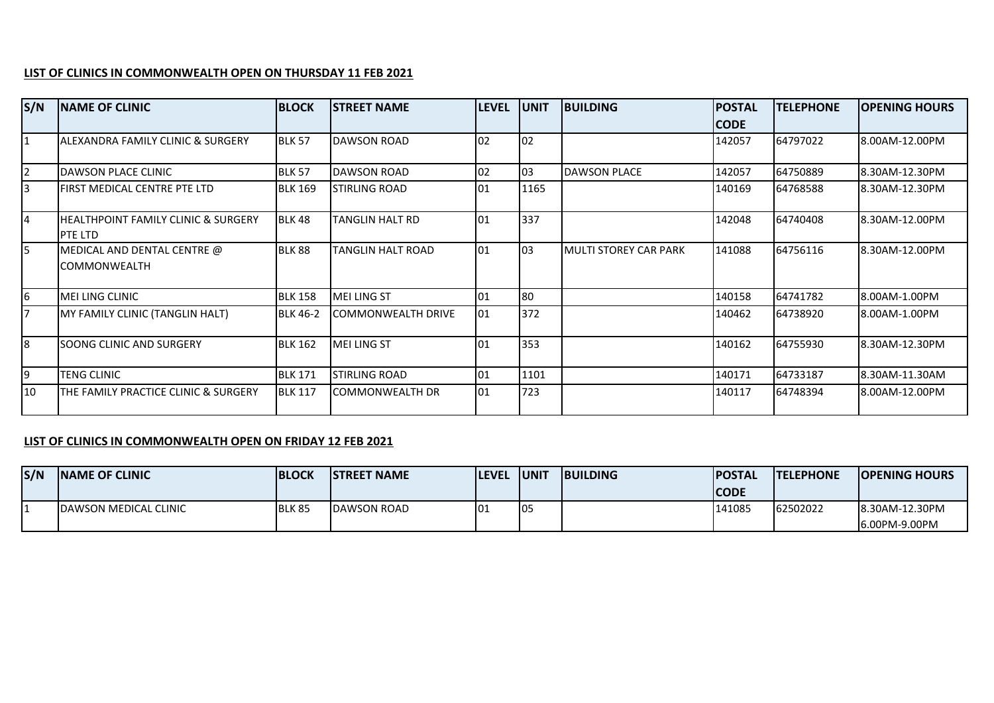## **LIST OF CLINICS IN COMMONWEALTH OPEN ON THURSDAY 11 FEB 2021**

| S/N            | <b>NAME OF CLINIC</b>                          | <b>BLOCK</b>    | <b>STREET NAME</b>        | <b>LEVEL</b> | <b>JUNIT</b> | <b>BUILDING</b>              | <b>POSTAL</b><br><b>CODE</b> | <b>TELEPHONE</b> | <b>OPENING HOURS</b> |
|----------------|------------------------------------------------|-----------------|---------------------------|--------------|--------------|------------------------------|------------------------------|------------------|----------------------|
| $\mathbf{1}$   | IALEXANDRA FAMILY CLINIC & SURGERY             | <b>BLK 57</b>   | <b>DAWSON ROAD</b>        | 02           | 02           |                              | 142057                       | 64797022         | 8.00AM-12.00PM       |
| $\overline{2}$ | DAWSON PLACE CLINIC                            | <b>BLK 57</b>   | DAWSON ROAD               | 02           | 03           | <b>DAWSON PLACE</b>          | 142057                       | 64750889         | 8.30AM-12.30PM       |
| 3              | FIRST MEDICAL CENTRE PTE LTD                   | <b>BLK 169</b>  | <b>STIRLING ROAD</b>      | 01           | 1165         |                              | 140169                       | 64768588         | 8.30AM-12.30PM       |
| l4             | HEALTHPOINT FAMILY CLINIC & SURGERY<br>PTE LTD | <b>BLK 48</b>   | TANGLIN HALT RD           | 01           | 337          |                              | 142048                       | 64740408         | 8.30AM-12.00PM       |
| 5              | MEDICAL AND DENTAL CENTRE @<br>ICOMMONWEALTH   | <b>BLK 88</b>   | TANGLIN HALT ROAD         | 01           | 03           | <b>MULTI STOREY CAR PARK</b> | 141088                       | 64756116         | 8.30AM-12.00PM       |
| 6              | MEI LING CLINIC                                | <b>BLK 158</b>  | <b>MEI LING ST</b>        | 01           | 80           |                              | 140158                       | 64741782         | 8.00AM-1.00PM        |
| 7              | MY FAMILY CLINIC (TANGLIN HALT)                | <b>BLK 46-2</b> | <b>COMMONWEALTH DRIVE</b> | 01           | 372          |                              | 140462                       | 64738920         | 8.00AM-1.00PM        |
| 8              | SOONG CLINIC AND SURGERY                       | <b>BLK 162</b>  | <b>MEI LING ST</b>        | 01           | 353          |                              | 140162                       | 64755930         | 8.30AM-12.30PM       |
| l9             | <b>TENG CLINIC</b>                             | <b>BLK 171</b>  | STIRLING ROAD             | 01           | 1101         |                              | 140171                       | 64733187         | 8.30AM-11.30AM       |
| 10             | THE FAMILY PRACTICE CLINIC & SURGERY           | <b>BLK 117</b>  | COMMONWEALTH DR           | 101          | 723          |                              | 140117                       | 64748394         | 8.00AM-12.00PM       |

## **LIST OF CLINICS IN COMMONWEALTH OPEN ON FRIDAY 12 FEB 2021**

| S/N | <b>INAME OF CLINIC</b>        | <b>BLOCK</b>  | ISTREET NAME       | <b>ILEVEL</b> | <b>IUNIT</b> | <b>BUILDING</b> | <b>IPOSTAL</b> | <b>ITELEPHONE</b> | <b>IOPENING HOURS</b> |
|-----|-------------------------------|---------------|--------------------|---------------|--------------|-----------------|----------------|-------------------|-----------------------|
|     |                               |               |                    |               |              |                 | <b>CODE</b>    |                   |                       |
|     | <b>IDAWSON MEDICAL CLINIC</b> | <b>BLK 85</b> | <b>DAWSON ROAD</b> | I٥.           | <b>O</b> 5   |                 | 141085         | 62502022          | 8.30AM-12.30PM        |
|     |                               |               |                    |               |              |                 |                |                   | 6.00PM-9.00PM         |